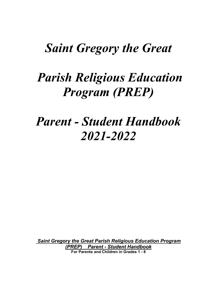## *Saint Gregory the Great*

# *Parish Religious Education Program (PREP)*

# *Parent - Student Handbook 2021-2022*

*Saint Gregory the Great Parish Religious Education Program (PREP) Parent - Student Handbook* **For Parents and Children in Grades 1 - 8**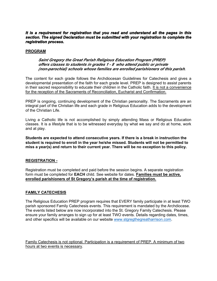#### *It is a requirement for registration that you read and understand all the pages in this section. The signed Declaration must be submitted with your registration to complete the registration process.*

#### **PROGRAM**

#### *Saint Gregory the Great Parish Religious Education Program (PREP) offers classes to students in grades 1 - 8 who attend public or private (non-parochial) schools whose families are enrolled parishioners of this parish.*

The content for each grade follows the Archdiocesan Guidelines for Catechesis and gives a developmental presentation of the faith for each grade level. PREP is designed to assist parents in their sacred responsibility to educate their children in the Catholic faith. It is not a convenience for the reception of the Sacraments of Reconciliation, Eucharist and Confirmation.

PREP is ongoing, continuing development of the Christian personality. The Sacraments are an integral part of the Christian life and each grade in Religious Education adds to the development of the Christian Life.

Living a Catholic life is not accomplished by simply attending Mass or Religious Education classes. It is a lifestyle that is to be witnessed everyday by what we say and do at home, work and at play.

**Students are expected to attend consecutive years. If there is a break in instruction the student is required to enroll in the year he/she missed. Students will not be permitted to miss a year(s) and return to their current year. There will be no exception to this policy.**

#### **REGISTRATION -**

Registration must be completed and paid before the session begins. A separate registration form must be completed for **EACH** child. See website for dates. **Families must be active, enrolled parishioners of St Gregory's parish at the time of registration.** 

#### **FAMILY CATECHESIS**

The Religious Education PREP program requires that EVERY family participate in at least TWO parish sponsored Family Catechesis events. This requirement is mandated by the Archdiocese. The events listed below are now incorporated into the St. Gregory Family Catechesis. Please ensure your family arranges to sign up for at least TWO events. Details regarding dates, times, and other specifics will be available on our website [www.stgregthegreatharrison.com.](http://www.stgregthegreatharrison.com/)

Family Catechesis is not optional. Participation is a requirement of PREP. A minimum of two hours at two events is necessary.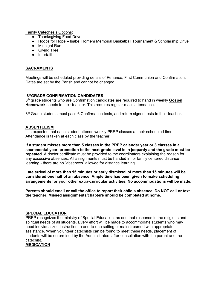Family Catechesis Options:

- Thanksgiving Food Drive
- Hoops for Hope Isabel Homem Memorial Basketball Tournament & Scholarship Drive
- Midnight Run
- Giving Tree
- Interfaith

#### **SACRAMENTS**

Meetings will be scheduled providing details of Penance, First Communion and Confirmation. Dates are set by the Parish and cannot be changed.

#### **8 thGRADE CONFIRMATION CANDIDATES**

8 th grade students who are Confirmation candidates are required to hand in weekly **Gospel Homework** sheets to their teacher. This requires regular mass attendance.

8<sup>th</sup> Grade students must pass 6 Confirmation tests, and return signed tests to their teacher.

#### **ABSENTEEISM**

It is expected that each student attends weekly PREP classes at their scheduled time. Attendance is taken at each class by the teacher.

**If a student misses more than 5 classes in the PREP calendar year or 3 classes in a sacramental year, promotion to the next grade level is in jeopardy and the grade must be repeated.** A doctor certificate must be provided to the coordinators explaining the reason for any excessive absences. All assignments must be handed in for family centered distance learning - there are no "absences" allowed for distance learning.

**Late arrival of more than 15 minutes or early dismissal of more than 15 minutes will be considered one half of an absence. Ample time has been given to make scheduling arrangements for your other extra-curricular activities. No accommodations will be made.** 

**Parents should email or call the office to report their child's absence. Do NOT call or text the teacher. Missed assignments/chapters should be completed at home.**

#### **SPECIAL EDUCATION**

PREP recognizes the ministry of Special Education, as one that responds to the religious and spiritual needs of all students. Every effort will be made to accommodate students who may need individualized instruction, a one-to-one setting or mainstreamed with appropriate assistance. When volunteer catechists can be found to meet these needs, placement of students will be determined by the Administrators after consultation with the parent and the catechist.

#### **MEDICATION**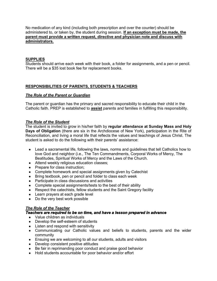No medication of any kind (including both prescription and over the counter) should be administered to, or taken by, the student during session. **If an exception must be made, the parent must provide a written request, directive and physician note and discuss with administrators.**

#### **SUPPLIES**

Students should arrive each week with their book, a folder for assignments, and a pen or pencil. There will be a \$35 lost book fee for replacement books.

#### **RESPONSIBILITIES OF PARENTS, STUDENTS & TEACHERS**

#### *The Role of the Parent or Guardian*

The parent or guardian has the primary and sacred responsibility to educate their child in the Catholic faith. PREP is established to **assist** parents and families in fulfilling this responsibility.

#### *The Role of the Student*

The student is invited to grow in his/her faith by **regular attendance at Sunday Mass and Holy Days of Obligation** (there are six in the Archdiocese of New York), participation in the Rite of Reconciliation, and living a moral life that reflects the values and teachings of Jesus Christ. The student is asked to do the following with their parents' assistance:

- Lead a sacramental life, following the laws, norms and guidelines that tell Catholics how to love God and neighbor (i.e., The Ten Commandments, Corporal Works of Mercy, The Beatitudes, Spiritual Works of Mercy and the Laws of the Church.
- Attend weekly religious education classes;
- Prepare for class instruction:
- Complete homework and special assignments given by Catechist
- Bring textbook, pen or pencil and folder to class each week
- Participate in class discussions and activities
- Complete special assignments/tests to the best of their ability
- Respect the catechists, fellow students and the Saint Gregory facility
- Learn prayers at each grade level
- Do the very best work possible

#### *The Role of the Teacher*

#### *Teachers are required to be on time, and have a lesson prepared in advance*

- Value children as individuals
- Develop the self-esteem of students
- Listen and respond with sensitivity
- Communicating our Catholic values and beliefs to students, parents and the wider community
- Ensuing we are welcoming to all our students, adults and visitors
- Develop consistent positive attitudes
- Be fair in reprimanding poor conduct and praise good behavior
- Hold students accountable for poor behavior and/or effort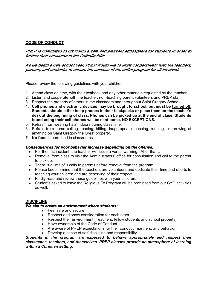#### **CODE OF CONDUCT**

#### *PREP is committed to providing a safe and pleasant atmosphere for students in order to further their education in the Catholic faith.*

#### *As we begin a new school year, PREP would like to work cooperatively with the teachers, parents, and students, to ensure the success of the entire program for all involved.*

Please review the following guidelines with your children:

- 1. Attend class on time, with their textbook and any other materials requested by the teacher.
- 2. Listen and cooperate with the teacher, non-teaching parent volunteers and PREP staff.
- 3. Respect the property of others in the classroom and throughout Saint Gregory School.
- **4. Cell phones and electronic devices may be brought to school, but must be turned off. Students should either keep phones in their backpacks or place them on the teacher's desk at the beginning of class. Phones can be picked up at the end of class. Students found using their cell phones will be sent home. NO EXCEPTIONS.**
- 5. Refrain from wearing hats indoors during class time.
- 6. Refrain from name calling, teasing, hitting, inappropriate touching, running, or throwing of anything on Saint Gregory the Great property.
- 7. **No food** is permitted in classrooms.

#### *Consequences for poor behavior increase depending on the offense.*

- For the first incident, the teacher will issue a verbal warning. After that...
- Removal from class to visit the Administrators' office for consultation and call to the parent to pick up.
- There is a limit of 3 calls to parents before removal from the program.
- Please keep in mind that the teachers are volunteers and dedicate their time and efforts to teaching your children and are deserving of their respect.
- Kindly read and review these guidelines with your children.
- Students asked to leave the Religious Ed Program will be prohibited from our CYO activities as well.

#### **DISCIPLINE**

#### *We aim to create an environment where students:*

- Feel safe and secure
- Respect and show consideration for each other
- Respect their environment (Teachers, fellow students and school property)
- Have ownership of the Code of Conduct
- Are aware of PREP expectations for their conduct, manners, and behavior
- Develop a sense of self-discipline and responsibility

*Students in the program are expected to behave appropriately and respect their classmates, teachers, and themselves. PREP classes provide an atmosphere of learning within a Christian setting.*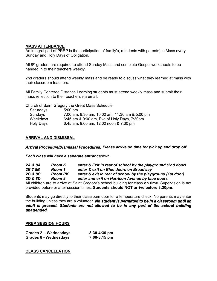#### **MASS ATTENDANCE**

An integral part of PREP is the participation of family's, (students with parents) in Mass every Sunday and Holy Days of Obligation.

All  $8<sup>th</sup>$  graders are required to attend Sunday Mass and complete Gospel worksheets to be handed in to their teachers weekly.

2nd graders should attend weekly mass and be ready to discuss what they learned at mass with their classroom teachers.

All Family Centered Distance Learning students must attend weekly mass and submit their mass reflection to their teachers via email.

Church of Saint Gregory the Great Mass Schedule

| Saturdays | $5:00 \text{ pm}$                              |
|-----------|------------------------------------------------|
| Sundays   | 7:00 am, 8:30 am, 10:00 am, 11:30 am & 5:00 pm |
| Weekdays  | 6:45 am & 9:00 am, Eve of Holy Days, 7:30pm    |
| Holy Days | 6:45 am, 9:00 am, 12:00 noon & 7:30 pm         |

#### **ARRIVAL AND DISMISSAL**

#### *Arrival Procedure/Dismissal Procedures: Please arrive on time for pick up and drop off.*

*Each class will have a separate entrance/exit.*

| 2A & 8A | <b>Room K</b>  | enter & Exit in rear of school by the playground (2nd door)                                         |
|---------|----------------|-----------------------------------------------------------------------------------------------------|
| 2B 7 8B | Room 1         | enter & exit on Blue doors on Broadway                                                              |
| 2C & 8C | <b>Room PK</b> | enter & exit in rear of school by the playground (1st door)                                         |
| 2D & 8D | Room 8         | enter and exit on Harrison Avenue by blue doors                                                     |
|         |                | All children are to arrive at Saint Gregory's school building for class on time. Supervision is not |

provided before or after session times. **Students should NOT arrive before 3:20pm**.

Students may go directly to their classroom door for a temperature check. No parents may enter the building unless they are a volunteer. *No student is permitted to be in a classroom until an adult is present. Students are not allowed to be in any part of the school building unattended.* 

#### **PREP SESSION HOURS**

| Grades 2 - Wednesdays | $3:30-4:30$ pm |
|-----------------------|----------------|
| Grades 8 - Wednesdays | 7:00-8:15 pm   |

**CLASS CANCELLATION**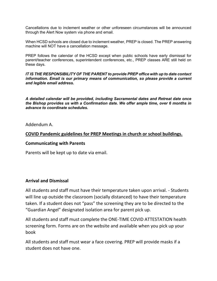Cancellations due to inclement weather or other unforeseen circumstances will be announced through the Alert Now system via phone and email.

When HCSD schools are closed due to inclement weather, PREP is closed. The PREP answering machine will NOT have a cancellation message.

PREP follows the calendar of the HCSD except when public schools have early dismissal for parent/teacher conferences, superintendent conferences, etc., PREP classes ARE still held on these days.

*IT IS THE RESPONSIBILITY OF THE PARENT to provide PREP office with up to date contact information. Email is our primary means of communication, so please provide a current and legible email address.*

*A detailed calendar will be provided, including Sacramental dates and Retreat date once the Bishop provides us with a Confirmation date. We offer ample time, over 6 months in advance to coordinate schedules.*

Addendum A.

### **COVID Pandemic guidelines for PREP Meetings in church or school buildings.**

#### **Communicating with Parents**

Parents will be kept up to date via email.

### **Arrival and Dismissal**

All students and staff must have their temperature taken upon arrival. - Students will line up outside the classroom (socially distanced) to have their temperature taken. If a student does not "pass" the screening they are to be directed to the "Guardian Angel" designated isolation area for parent pick up.

All students and staff must complete the ONE-TIME COVID ATTESTATION health screening form. Forms are on the website and available when you pick up your book

All students and staff must wear a face covering. PREP will provide masks if a student does not have one.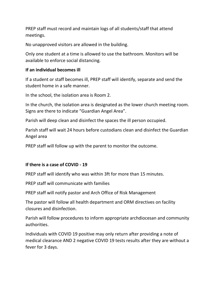PREP staff must record and maintain logs of all students/staff that attend meetings.

No unapproved visitors are allowed in the building.

Only one student at a time is allowed to use the bathroom. Monitors will be available to enforce social distancing.

## **If an individual becomes ill**

If a student or staff becomes ill, PREP staff will identify, separate and send the student home in a safe manner.

In the school, the isolation area is Room 2.

In the church, the isolation area is designated as the lower church meeting room. Signs are there to indicate "Guardian Angel Area".

Parish will deep clean and disinfect the spaces the ill person occupied.

Parish staff will wait 24 hours before custodians clean and disinfect the Guardian Angel area

PREP staff will follow up with the parent to monitor the outcome.

## **If there is a case of COVID - 19**

PREP staff will identify who was within 3ft for more than 15 minutes.

PREP staff will communicate with families

PREP staff will notify pastor and Arch Office of Risk Management

The pastor will follow all health department and ORM directives on facility closures and disinfection.

Parish will follow procedures to inform appropriate archdiocesan and community authorities.

Individuals with COVID 19 positive may only return after providing a note of medical clearance AND 2 negative COVID 19 tests results after they are without a fever for 3 days.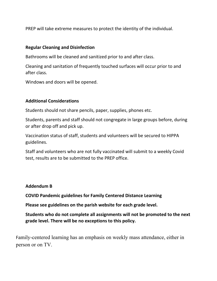PREP will take extreme measures to protect the identity of the individual.

## **Regular Cleaning and Disinfection**

Bathrooms will be cleaned and sanitized prior to and after class.

Cleaning and sanitation of frequently touched surfaces will occur prior to and after class.

Windows and doors will be opened.

## **Additional Considerations**

Students should not share pencils, paper, supplies, phones etc.

Students, parents and staff should not congregate in large groups before, during or after drop off and pick up.

Vaccination status of staff, students and volunteers will be secured to HIPPA guidelines.

Staff and volunteers who are not fully vaccinated will submit to a weekly Covid test, results are to be submitted to the PREP office.

## **Addendum B**

**COVID Pandemic guidelines for Family Centered Distance Learning**

**Please see guidelines on the parish website for each grade level.** 

**Students who do not complete all assignments will not be promoted to the next grade level. There will be no exceptions to this policy.**

Family-centered learning has an emphasis on weekly mass attendance, either in person or on TV.